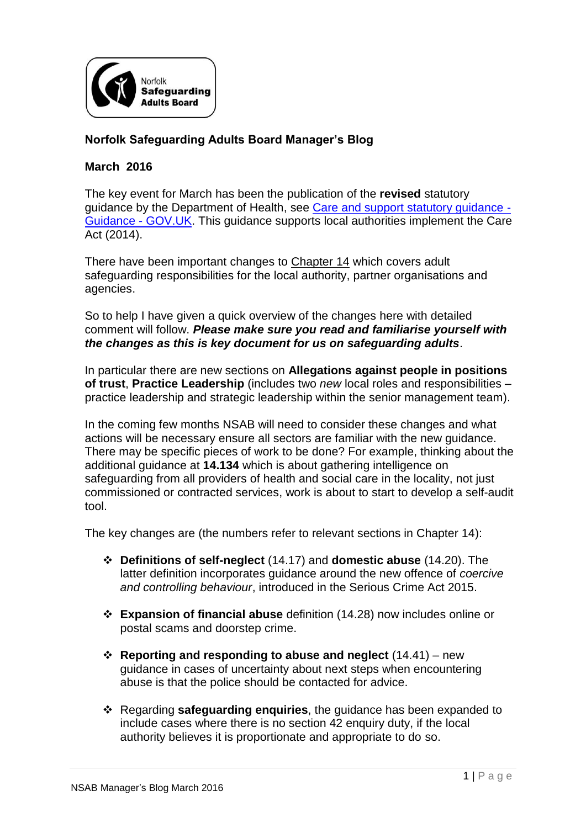

## **Norfolk Safeguarding Adults Board Manager's Blog**

## **March 2016**

The key event for March has been the publication of the **revised** statutory guidance by the Department of Health, see [Care and support statutory guidance -](https://www.gov.uk/guidance/care-and-support-statutory-guidance) [Guidance -](https://www.gov.uk/guidance/care-and-support-statutory-guidance) GOV.UK. This guidance supports local authorities implement the Care Act (2014).

There have been important changes to Chapter 14 which covers adult safeguarding responsibilities for the local authority, partner organisations and agencies.

So to help I have given a quick overview of the changes here with detailed comment will follow. *Please make sure you read and familiarise yourself with the changes as this is key document for us on safeguarding adults*.

In particular there are new sections on **Allegations against people in positions of trust**, **Practice Leadership** (includes two *new* local roles and responsibilities – practice leadership and strategic leadership within the senior management team).

In the coming few months NSAB will need to consider these changes and what actions will be necessary ensure all sectors are familiar with the new guidance. There may be specific pieces of work to be done? For example, thinking about the additional guidance at **14.134** which is about gathering intelligence on safeguarding from all providers of health and social care in the locality, not just commissioned or contracted services, work is about to start to develop a self-audit tool.

The key changes are (the numbers refer to relevant sections in Chapter 14):

- **Definitions of self-neglect** (14.17) and **domestic abuse** (14.20). The latter definition incorporates guidance around the new offence of *coercive and controlling behaviour*, introduced in the Serious Crime Act 2015.
- **Expansion of financial abuse** definition (14.28) now includes online or postal scams and doorstep crime.
- **Reporting and responding to abuse and neglect** (14.41) new guidance in cases of uncertainty about next steps when encountering abuse is that the police should be contacted for advice.
- Regarding **safeguarding enquiries**, the guidance has been expanded to include cases where there is no section 42 enquiry duty, if the local authority believes it is proportionate and appropriate to do so.